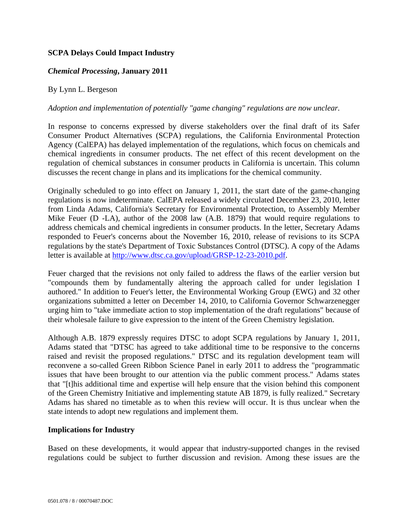# **SCPA Delays Could Impact Industry**

## *Chemical Processing***, January 2011**

### By Lynn L. Bergeson

#### *Adoption and implementation of potentially "game changing" regulations are now unclear.*

In response to concerns expressed by diverse stakeholders over the final draft of its Safer Consumer Product Alternatives (SCPA) regulations, the California Environmental Protection Agency (CalEPA) has delayed implementation of the regulations, which focus on chemicals and chemical ingredients in consumer products. The net effect of this recent development on the regulation of chemical substances in consumer products in California is uncertain. This column discusses the recent change in plans and its implications for the chemical community.

Originally scheduled to go into effect on January 1, 2011, the start date of the game-changing regulations is now indeterminate. CalEPA released a widely circulated December 23, 2010, letter from Linda Adams, California's Secretary for Environmental Protection, to Assembly Member Mike Feuer (D -LA), author of the 2008 law (A.B. 1879) that would require regulations to address chemicals and chemical ingredients in consumer products. In the letter, Secretary Adams responded to Feuer's concerns about the November 16, 2010, release of revisions to its SCPA regulations by the state's Department of Toxic Substances Control (DTSC). A copy of the Adams letter is available at http://www.dtsc.ca.gov/upload/GRSP-12-23-2010.pdf.

Feuer charged that the revisions not only failed to address the flaws of the earlier version but "compounds them by fundamentally altering the approach called for under legislation I authored." In addition to Feuer's letter, the Environmental Working Group (EWG) and 32 other organizations submitted a letter on December 14, 2010, to California Governor Schwarzenegger urging him to "take immediate action to stop implementation of the draft regulations" because of their wholesale failure to give expression to the intent of the Green Chemistry legislation.

Although A.B. 1879 expressly requires DTSC to adopt SCPA regulations by January 1, 2011, Adams stated that "DTSC has agreed to take additional time to be responsive to the concerns raised and revisit the proposed regulations." DTSC and its regulation development team will reconvene a so-called Green Ribbon Science Panel in early 2011 to address the "programmatic issues that have been brought to our attention via the public comment process." Adams states that "[t]his additional time and expertise will help ensure that the vision behind this component of the Green Chemistry Initiative and implementing statute AB 1879, is fully realized." Secretary Adams has shared no timetable as to when this review will occur. It is thus unclear when the state intends to adopt new regulations and implement them.

#### **Implications for Industry**

Based on these developments, it would appear that industry-supported changes in the revised regulations could be subject to further discussion and revision. Among these issues are the